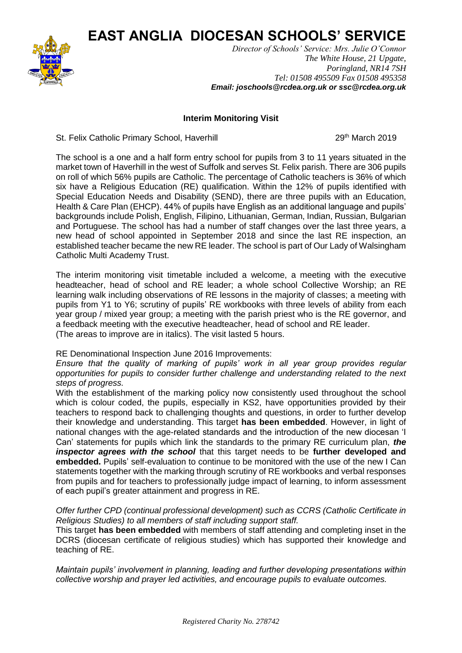**EAST ANGLIA DIOCESAN SCHOOLS' SERVICE**



*Director of Schools' Service: Mrs. Julie O'Connor The White House, 21 Upgate, Poringland, NR14 7SH Tel: 01508 495509 Fax 01508 495358 Email: joschools@rcdea.org.uk or ssc@rcdea.org.uk*

## **Interim Monitoring Visit**

St. Felix Catholic Primary School, Haverhill 29th March 2019

The school is a one and a half form entry school for pupils from 3 to 11 years situated in the market town of Haverhill in the west of Suffolk and serves St. Felix parish. There are 306 pupils on roll of which 56% pupils are Catholic. The percentage of Catholic teachers is 36% of which six have a Religious Education (RE) qualification. Within the 12% of pupils identified with Special Education Needs and Disability (SEND), there are three pupils with an Education, Health & Care Plan (EHCP). 44% of pupils have English as an additional language and pupils' backgrounds include Polish, English, Filipino, Lithuanian, German, Indian, Russian, Bulgarian and Portuguese. The school has had a number of staff changes over the last three years, a new head of school appointed in September 2018 and since the last RE inspection, an established teacher became the new RE leader. The school is part of Our Lady of Walsingham Catholic Multi Academy Trust.

The interim monitoring visit timetable included a welcome, a meeting with the executive headteacher, head of school and RE leader; a whole school Collective Worship; an RE learning walk including observations of RE lessons in the majority of classes; a meeting with pupils from Y1 to Y6; scrutiny of pupils' RE workbooks with three levels of ability from each year group / mixed year group; a meeting with the parish priest who is the RE governor, and a feedback meeting with the executive headteacher, head of school and RE leader. (The areas to improve are in italics). The visit lasted 5 hours.

## RE Denominational Inspection June 2016 Improvements:

*Ensure that the quality of marking of pupils' work in all year group provides regular opportunities for pupils to consider further challenge and understanding related to the next steps of progress.*

With the establishment of the marking policy now consistently used throughout the school which is colour coded, the pupils, especially in KS2, have opportunities provided by their teachers to respond back to challenging thoughts and questions, in order to further develop their knowledge and understanding. This target **has been embedded**. However, in light of national changes with the age-related standards and the introduction of the new diocesan 'I Can' statements for pupils which link the standards to the primary RE curriculum plan, *the inspector agrees with the school* that this target needs to be **further developed and embedded.** Pupils' self-evaluation to continue to be monitored with the use of the new I Can statements together with the marking through scrutiny of RE workbooks and verbal responses from pupils and for teachers to professionally judge impact of learning, to inform assessment of each pupil's greater attainment and progress in RE.

*Offer further CPD (continual professional development) such as CCRS (Catholic Certificate in Religious Studies) to all members of staff including support staff.*

This target **has been embedded** with members of staff attending and completing inset in the DCRS (diocesan certificate of religious studies) which has supported their knowledge and teaching of RE.

*Maintain pupils' involvement in planning, leading and further developing presentations within collective worship and prayer led activities, and encourage pupils to evaluate outcomes.*